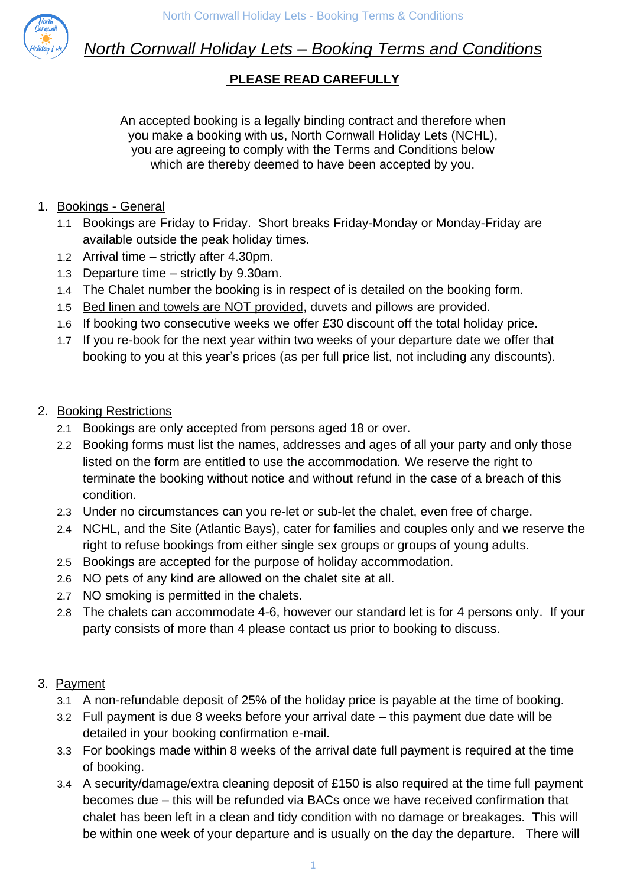

# *North Cornwall Holiday Lets – Booking Terms and Conditions*

# **PLEASE READ CAREFULLY**

An accepted booking is a legally binding contract and therefore when you make a booking with us, North Cornwall Holiday Lets (NCHL), you are agreeing to comply with the Terms and Conditions below which are thereby deemed to have been accepted by you.

- 1. Bookings General
	- 1.1 Bookings are Friday to Friday. Short breaks Friday-Monday or Monday-Friday are available outside the peak holiday times.
	- 1.2 Arrival time strictly after 4.30pm.
	- 1.3 Departure time strictly by 9.30am.
	- 1.4 The Chalet number the booking is in respect of is detailed on the booking form.
	- 1.5 Bed linen and towels are NOT provided, duvets and pillows are provided.
	- 1.6 If booking two consecutive weeks we offer £30 discount off the total holiday price.
	- 1.7 If you re-book for the next year within two weeks of your departure date we offer that booking to you at this year's prices (as per full price list, not including any discounts).
- 2. Booking Restrictions
	- 2.1 Bookings are only accepted from persons aged 18 or over.
	- 2.2 Booking forms must list the names, addresses and ages of all your party and only those listed on the form are entitled to use the accommodation. We reserve the right to terminate the booking without notice and without refund in the case of a breach of this condition.
	- 2.3 Under no circumstances can you re-let or sub-let the chalet, even free of charge.
	- 2.4 NCHL, and the Site (Atlantic Bays), cater for families and couples only and we reserve the right to refuse bookings from either single sex groups or groups of young adults.
	- 2.5 Bookings are accepted for the purpose of holiday accommodation.
	- 2.6 NO pets of any kind are allowed on the chalet site at all.
	- 2.7 NO smoking is permitted in the chalets.
	- 2.8 The chalets can accommodate 4-6, however our standard let is for 4 persons only. If your party consists of more than 4 please contact us prior to booking to discuss.

#### 3. Payment

- 3.1 A non-refundable deposit of 25% of the holiday price is payable at the time of booking.
- 3.2 Full payment is due 8 weeks before your arrival date this payment due date will be detailed in your booking confirmation e-mail.
- 3.3 For bookings made within 8 weeks of the arrival date full payment is required at the time of booking.
- 3.4 A security/damage/extra cleaning deposit of £150 is also required at the time full payment becomes due – this will be refunded via BACs once we have received confirmation that chalet has been left in a clean and tidy condition with no damage or breakages. This will be within one week of your departure and is usually on the day the departure. There will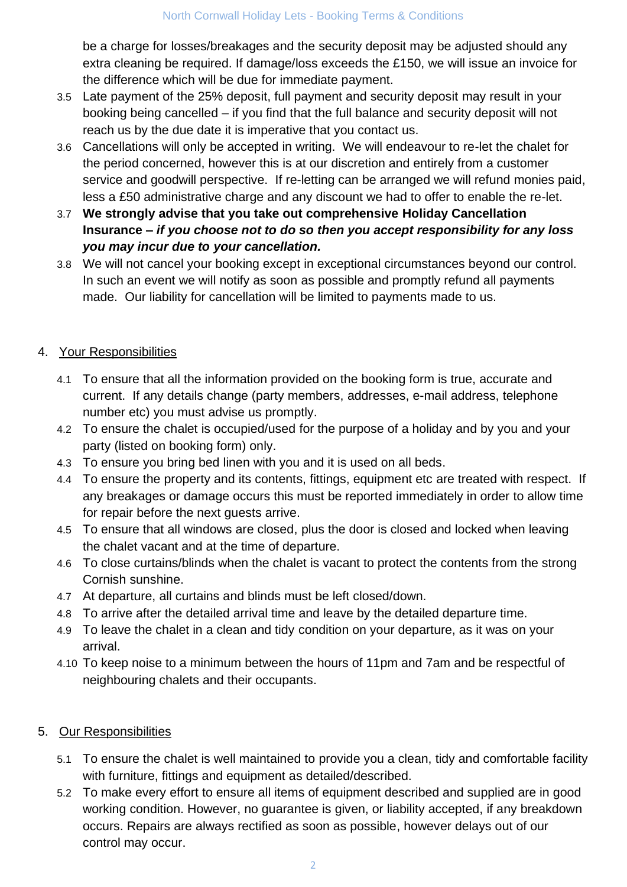be a charge for losses/breakages and the security deposit may be adjusted should any extra cleaning be required. If damage/loss exceeds the £150, we will issue an invoice for the difference which will be due for immediate payment.

- 3.5 Late payment of the 25% deposit, full payment and security deposit may result in your booking being cancelled – if you find that the full balance and security deposit will not reach us by the due date it is imperative that you contact us.
- 3.6 Cancellations will only be accepted in writing. We will endeavour to re-let the chalet for the period concerned, however this is at our discretion and entirely from a customer service and goodwill perspective. If re-letting can be arranged we will refund monies paid, less a £50 administrative charge and any discount we had to offer to enable the re-let.
- 3.7 **We strongly advise that you take out comprehensive Holiday Cancellation Insurance –** *if you choose not to do so then you accept responsibility for any loss you may incur due to your cancellation.*
- 3.8 We will not cancel your booking except in exceptional circumstances beyond our control. In such an event we will notify as soon as possible and promptly refund all payments made. Our liability for cancellation will be limited to payments made to us.

## 4. Your Responsibilities

- 4.1 To ensure that all the information provided on the booking form is true, accurate and current. If any details change (party members, addresses, e-mail address, telephone number etc) you must advise us promptly.
- 4.2 To ensure the chalet is occupied/used for the purpose of a holiday and by you and your party (listed on booking form) only.
- 4.3 To ensure you bring bed linen with you and it is used on all beds.
- 4.4 To ensure the property and its contents, fittings, equipment etc are treated with respect. If any breakages or damage occurs this must be reported immediately in order to allow time for repair before the next guests arrive.
- 4.5 To ensure that all windows are closed, plus the door is closed and locked when leaving the chalet vacant and at the time of departure.
- 4.6 To close curtains/blinds when the chalet is vacant to protect the contents from the strong Cornish sunshine.
- 4.7 At departure, all curtains and blinds must be left closed/down.
- 4.8 To arrive after the detailed arrival time and leave by the detailed departure time.
- 4.9 To leave the chalet in a clean and tidy condition on your departure, as it was on your arrival.
- 4.10 To keep noise to a minimum between the hours of 11pm and 7am and be respectful of neighbouring chalets and their occupants.

#### 5. Our Responsibilities

- 5.1 To ensure the chalet is well maintained to provide you a clean, tidy and comfortable facility with furniture, fittings and equipment as detailed/described.
- 5.2 To make every effort to ensure all items of equipment described and supplied are in good working condition. However, no guarantee is given, or liability accepted, if any breakdown occurs. Repairs are always rectified as soon as possible, however delays out of our control may occur.